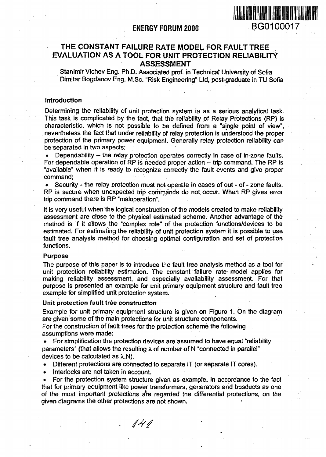

# **THE CONSTANT FAILURE RATE MODEL FOR FAULT TREE EVALUATION AS A TOOL FOR UNIT PROTECTION RELIABILITY ASSESSMENT**

Stanimir Vichev Eng. Ph.D. Associated prof, in Technical University of Softa Dimitar Bogdanov Eng. M.Sc. "Risk Engineering" Ltd, post-graduate in TU Sofia

## Introduction

Determining the reliability of unit protection system ia as a serious analytical task. This task is complicated by the fact, that the reliability of Relay Protections (RP) is characteristic, which is not possible to be defined from a "single point of view", nevertheless the fact that under reliability of relay protection is understood the proper protection of the primary power equipment. Generally relay protection reliability can be separated in two aspects:

Dependability - the relay protection operates correctly in case of in-zone faults. For dependable operation of RP is needed proper action  $-$  trip command. The RP is "available" when it is ready to recognize correctly the fault events and give proper command;

• Security - the relay protection must not operate in cases of out - of - zone faults. RP is secure when unexpected trip commands do not occur. When RP gives error trip command there is RP "maloperation".

It is very useful when the logical construction of the models created to make reliability assessment are close to the physical estimated scheme. Another advantage of the method is if it allows the "complex role" of the protection functions/devices to be estimated. For estimating the reliability of unit protection system it is possible to use fault tree analysis method for choosing optimal configuration and set of protection functions.

### Purpose

The purpose of this paper is to introduce the fault tree analysis method as a tool for unit protection reliability estimation. The constant failure rate model applies for making reliability assessment, and especially availability assessment. For that purpose is presented an example for unit primary equipment structure and fault tree example for simplified unit protection system.

## Unit protection fault tree construction

Example for unit primary equipment structure is given on Figure 1. On the diagram are given some of the main protections for unit structure components.

For the construction of fault trees for the protection scheme the following assumptions were made:

• For simplification the protection devices are assumed to have equal "reliability parameters" (that allows the resulting  $\lambda$  of number of N "connected in parallel" devices to be calculated as  $\lambda$ .N).

- Different protections are connected to separate IT (or separate IT cores).
- Interlocks are not taken in account.

• For the protection system structure given as example, in accordance to the fact that for primary equipment like power transformers, generators and busducts as one of the most important protections are regarded the differential protections, on the given diagrams the other protections are not shown.

141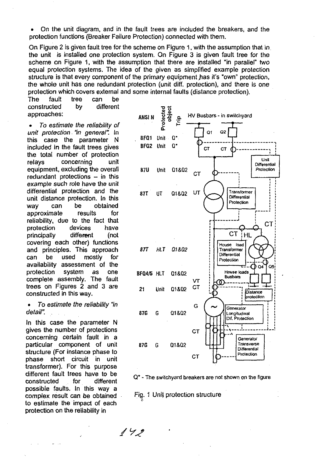• On the unit diagram, and in the fault trees are included the breakers, and the protection functions (Breaker Failure Protection) connected with them.

On Figure 2 is given fault tree for the scheme on Figure 1, with the assumption that in the unit is installed one protection system. On Figure 3 is given fault tree for the scheme on Figure 1, with the assumption that there are installed "in parallel" two equal protection systems. The idea of the given as simplified example protection structure is that every component of the primary equipment has it's "own" protection, the whole unit has one redundant protection (unit diff. protection), and there is one protection which covers external and some internal faults (distance protection).

The fault tree can be constructed by different approaches:

• To estimate the reliability of unit protection "in general". In this case the parameter N included in the fault trees gives the total number of protection relays concerning unit equipment, excluding the overall redundant protections - in this example such role have the unit differential protection and the unit distance protection. In this way can be obtained approximate results for reliability, due to the fact that protection devices have principally different (not covering each other) functions and principles. This approach can be used mostly for availability assessment of the protection system as one complete assembly. The fault trees on Figures 2 and 3 are  $21$  Unit  $01802$ constructed in this way.

• To estimate the reliability "in detail".

In this case the parameter N gives the number of protections concerning certain fault in a particular component of unit structure (For instance phase to phase short circuit in unit transformer). For this purpose different fault trees have to be constructed for different possible faults. In this way a complex result can be obtained to estimate the impact of each protection on the reliability in



Q\* - The switchyard breakers are not shown on the figure

Fig. 1 Unit protection structure

 $142$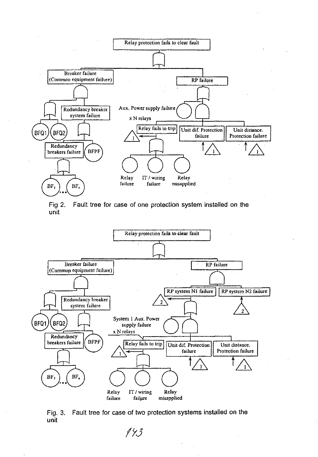

Fig 2. Fault tree for case of one protection system installed on the unit



Fig. 3. Fault tree for case of two protection systems installed on the unit

 $143$